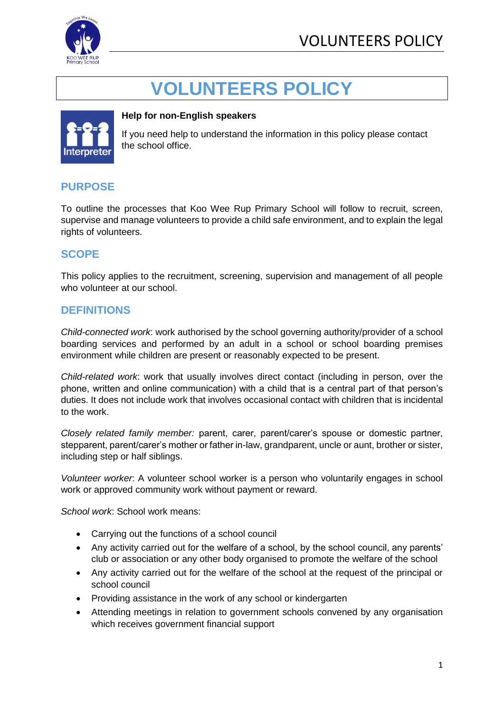

# **VOLUNTEERS POLICY**



## **Help for non-English speakers**

If you need help to understand the information in this policy please contact the school office.

# **PURPOSE**

To outline the processes that Koo Wee Rup Primary School will follow to recruit, screen, supervise and manage volunteers to provide a child safe environment, and to explain the legal rights of volunteers.

## **SCOPE**

This policy applies to the recruitment, screening, supervision and management of all people who volunteer at our school.

## **DEFINITIONS**

*Child-connected work*: work authorised by the school governing authority/provider of a school boarding services and performed by an adult in a school or school boarding premises environment while children are present or reasonably expected to be present.

*Child-related work*: work that usually involves direct contact (including in person, over the phone, written and online communication) with a child that is a central part of that person's duties. It does not include work that involves occasional contact with children that is incidental to the work.

*Closely related family member:* parent, carer, parent/carer's spouse or domestic partner, stepparent, parent/carer's mother or father in-law, grandparent, uncle or aunt, brother or sister, including step or half siblings.

*Volunteer worker*: A volunteer school worker is a person who voluntarily engages in school work or approved community work without payment or reward.

*School work*: School work means:

- Carrying out the functions of a school council
- Any activity carried out for the welfare of a school, by the school council, any parents' club or association or any other body organised to promote the welfare of the school
- Any activity carried out for the welfare of the school at the request of the principal or school council
- Providing assistance in the work of any school or kindergarten
- Attending meetings in relation to government schools convened by any organisation which receives government financial support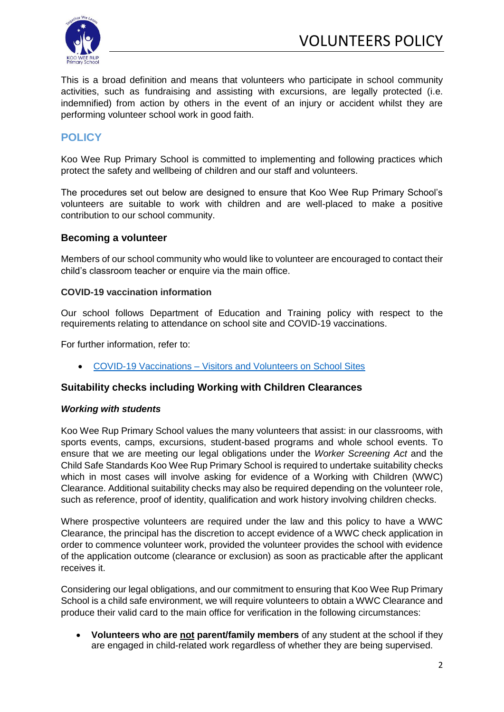

This is a broad definition and means that volunteers who participate in school community activities, such as fundraising and assisting with excursions, are legally protected (i.e. indemnified) from action by others in the event of an injury or accident whilst they are performing volunteer school work in good faith.

# **POLICY**

Koo Wee Rup Primary School is committed to implementing and following practices which protect the safety and wellbeing of children and our staff and volunteers.

The procedures set out below are designed to ensure that Koo Wee Rup Primary School's volunteers are suitable to work with children and are well-placed to make a positive contribution to our school community.

## **Becoming a volunteer**

Members of our school community who would like to volunteer are encouraged to contact their child's classroom teacher or enquire via the main office.

#### **COVID-19 vaccination information**

Our school follows Department of Education and Training policy with respect to the requirements relating to attendance on school site and COVID-19 vaccinations.

For further information, refer to:

• COVID-19 Vaccinations – [Visitors and Volunteers on School Sites](https://www2.education.vic.gov.au/pal/covid-19-vaccinations-visitors-volunteers/policy)

#### **Suitability checks including Working with Children Clearances**

#### *Working with students*

Koo Wee Rup Primary School values the many volunteers that assist: in our classrooms, with sports events, camps, excursions, student-based programs and whole school events. To ensure that we are meeting our legal obligations under the *Worker Screening Act* and the Child Safe Standards Koo Wee Rup Primary School is required to undertake suitability checks which in most cases will involve asking for evidence of a Working with Children (WWC) Clearance. Additional suitability checks may also be required depending on the volunteer role, such as reference, proof of identity, qualification and work history involving children checks.

Where prospective volunteers are required under the law and this policy to have a WWC Clearance, the principal has the discretion to accept evidence of a WWC check application in order to commence volunteer work, provided the volunteer provides the school with evidence of the application outcome (clearance or exclusion) as soon as practicable after the applicant receives it.

Considering our legal obligations, and our commitment to ensuring that Koo Wee Rup Primary School is a child safe environment, we will require volunteers to obtain a WWC Clearance and produce their valid card to the main office for verification in the following circumstances:

• **Volunteers who are not parent/family members** of any student at the school if they are engaged in child-related work regardless of whether they are being supervised.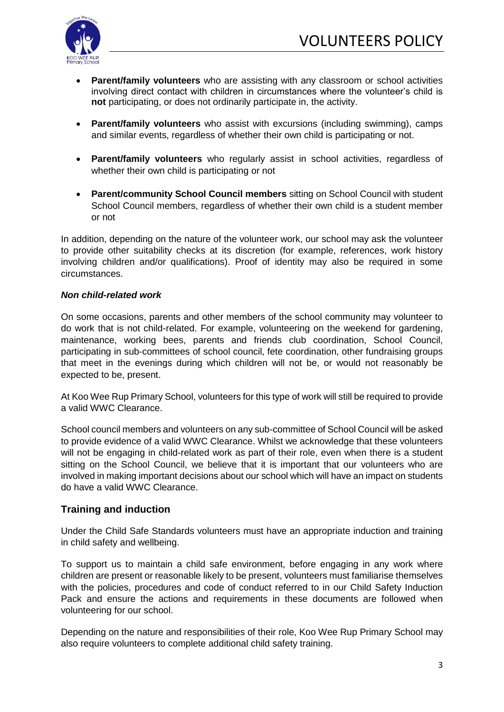

- **Parent/family volunteers** who are assisting with any classroom or school activities involving direct contact with children in circumstances where the volunteer's child is **not** participating, or does not ordinarily participate in, the activity.
- **Parent/family volunteers** who assist with excursions (including swimming), camps and similar events, regardless of whether their own child is participating or not.
- **Parent/family volunteers** who regularly assist in school activities, regardless of whether their own child is participating or not
- **Parent/community School Council members** sitting on School Council with student School Council members, regardless of whether their own child is a student member or not

In addition, depending on the nature of the volunteer work, our school may ask the volunteer to provide other suitability checks at its discretion (for example, references, work history involving children and/or qualifications). Proof of identity may also be required in some circumstances.

## *Non child-related work*

On some occasions, parents and other members of the school community may volunteer to do work that is not child-related. For example, volunteering on the weekend for gardening, maintenance, working bees, parents and friends club coordination, School Council, participating in sub-committees of school council, fete coordination, other fundraising groups that meet in the evenings during which children will not be, or would not reasonably be expected to be, present.

At Koo Wee Rup Primary School, volunteers for this type of work will still be required to provide a valid WWC Clearance.

School council members and volunteers on any sub-committee of School Council will be asked to provide evidence of a valid WWC Clearance. Whilst we acknowledge that these volunteers will not be engaging in child-related work as part of their role, even when there is a student sitting on the School Council, we believe that it is important that our volunteers who are involved in making important decisions about our school which will have an impact on students do have a valid WWC Clearance.

## **Training and induction**

Under the Child Safe Standards volunteers must have an appropriate induction and training in child safety and wellbeing.

To support us to maintain a child safe environment, before engaging in any work where children are present or reasonable likely to be present, volunteers must familiarise themselves with the policies, procedures and code of conduct referred to in our Child Safety Induction Pack and ensure the actions and requirements in these documents are followed when volunteering for our school.

Depending on the nature and responsibilities of their role, Koo Wee Rup Primary School may also require volunteers to complete additional child safety training.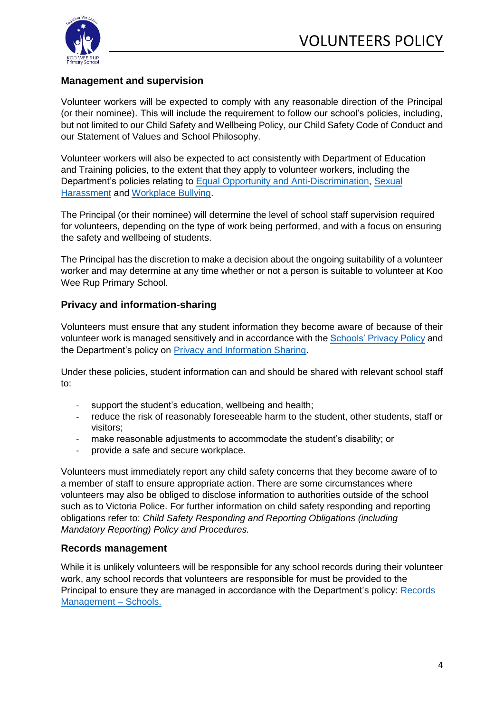

## **Management and supervision**

Volunteer workers will be expected to comply with any reasonable direction of the Principal (or their nominee). This will include the requirement to follow our school's policies, including, but not limited to our Child Safety and Wellbeing Policy, our Child Safety Code of Conduct and our Statement of Values and School Philosophy.

Volunteer workers will also be expected to act consistently with Department of Education and Training policies, to the extent that they apply to volunteer workers, including the Department's policies relating to [Equal Opportunity and Anti-Discrimination,](https://www2.education.vic.gov.au/pal/equal-opportunity/policy-and-guidelines) [Sexual](https://www2.education.vic.gov.au/pal/sexual-harassment/overview)  [Harassment](https://www2.education.vic.gov.au/pal/sexual-harassment/overview) and [Workplace Bullying.](https://www2.education.vic.gov.au/pal/workplace-bullying/policy)

The Principal (or their nominee) will determine the level of school staff supervision required for volunteers, depending on the type of work being performed, and with a focus on ensuring the safety and wellbeing of students.

The Principal has the discretion to make a decision about the ongoing suitability of a volunteer worker and may determine at any time whether or not a person is suitable to volunteer at Koo Wee Rup Primary School.

## **Privacy and information-sharing**

Volunteers must ensure that any student information they become aware of because of their volunteer work is managed sensitively and in accordance with the [Schools' Privacy Policy](https://www.education.vic.gov.au/Pages/schoolsprivacypolicy.aspx) and the Department's policy on [Privacy and Information Sharing.](https://www2.education.vic.gov.au/pal/privacy-information-sharing/policy)

Under these policies, student information can and should be shared with relevant school staff to:

- support the student's education, wellbeing and health;
- reduce the risk of reasonably foreseeable harm to the student, other students, staff or visitors;
- make reasonable adjustments to accommodate the student's disability; or
- provide a safe and secure workplace.

Volunteers must immediately report any child safety concerns that they become aware of to a member of staff to ensure appropriate action. There are some circumstances where volunteers may also be obliged to disclose information to authorities outside of the school such as to Victoria Police. For further information on child safety responding and reporting obligations refer to: *Child Safety Responding and Reporting Obligations (including Mandatory Reporting) Policy and Procedures.* 

## **Records management**

While it is unlikely volunteers will be responsible for any school records during their volunteer work, any school records that volunteers are responsible for must be provided to the Principal to ensure they are managed in accordance with the Department's policy: [Records](https://www2.education.vic.gov.au/pal/records-management/policy)  [Management –](https://www2.education.vic.gov.au/pal/records-management/policy) Schools.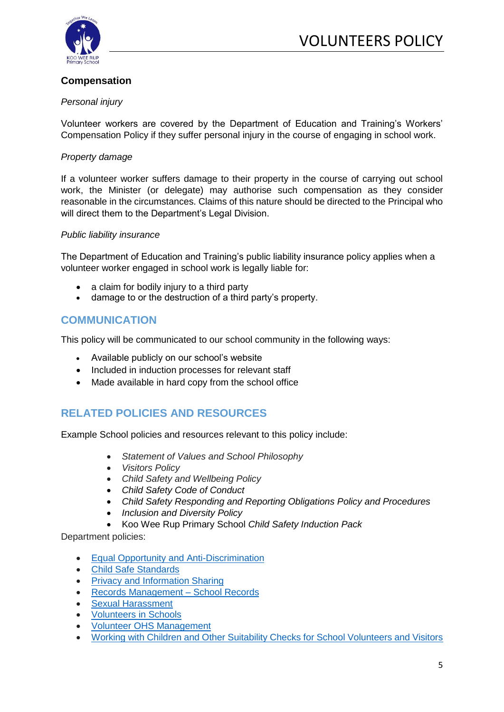



## **Compensation**

#### *Personal injury*

Volunteer workers are covered by the Department of Education and Training's Workers' Compensation Policy if they suffer personal injury in the course of engaging in school work.

## *Property damage*

If a volunteer worker suffers damage to their property in the course of carrying out school work, the Minister (or delegate) may authorise such compensation as they consider reasonable in the circumstances. Claims of this nature should be directed to the Principal who will direct them to the Department's Legal Division.

#### *Public liability insurance*

The Department of Education and Training's public liability insurance policy applies when a volunteer worker engaged in school work is legally liable for:

- a claim for bodily injury to a third party
- damage to or the destruction of a third party's property.

## **COMMUNICATION**

This policy will be communicated to our school community in the following ways:

- Available publicly on our school's website
- Included in induction processes for relevant staff
- Made available in hard copy from the school office

## **RELATED POLICIES AND RESOURCES**

Example School policies and resources relevant to this policy include:

- *Statement of Values and School Philosophy*
- *Visitors Policy*
- *Child Safety and Wellbeing Policy*
- *Child Safety Code of Conduct*
- *Child Safety Responding and Reporting Obligations Policy and Procedures*
- *Inclusion and Diversity Policy*
- Koo Wee Rup Primary School *Child Safety Induction Pack*

Department policies:

- [Equal Opportunity and Anti-Discrimination](https://www2.education.vic.gov.au/pal/equal-opportunity/policy-and-guidelines)
- [Child Safe Standards](https://www2.education.vic.gov.au/pal/child-safe-standards/policy)
- [Privacy and Information Sharing](https://www2.education.vic.gov.au/pal/privacy-information-sharing/policy)
- [Records Management –](https://www2.education.vic.gov.au/pal/records-management/policy) School Records
- [Sexual Harassment](https://www2.education.vic.gov.au/pal/sexual-harassment/policy-and-guidelines)
- [Volunteers in Schools](https://www2.education.vic.gov.au/pal/volunteers/policy)
- [Volunteer OHS Management](https://www2.education.vic.gov.au/pal/volunteer-ohs-management/policy)
- [Working with Children and Other Suitability Checks for School Volunteers and Visitors](https://www2.education.vic.gov.au/pal/suitability-checks/policy)